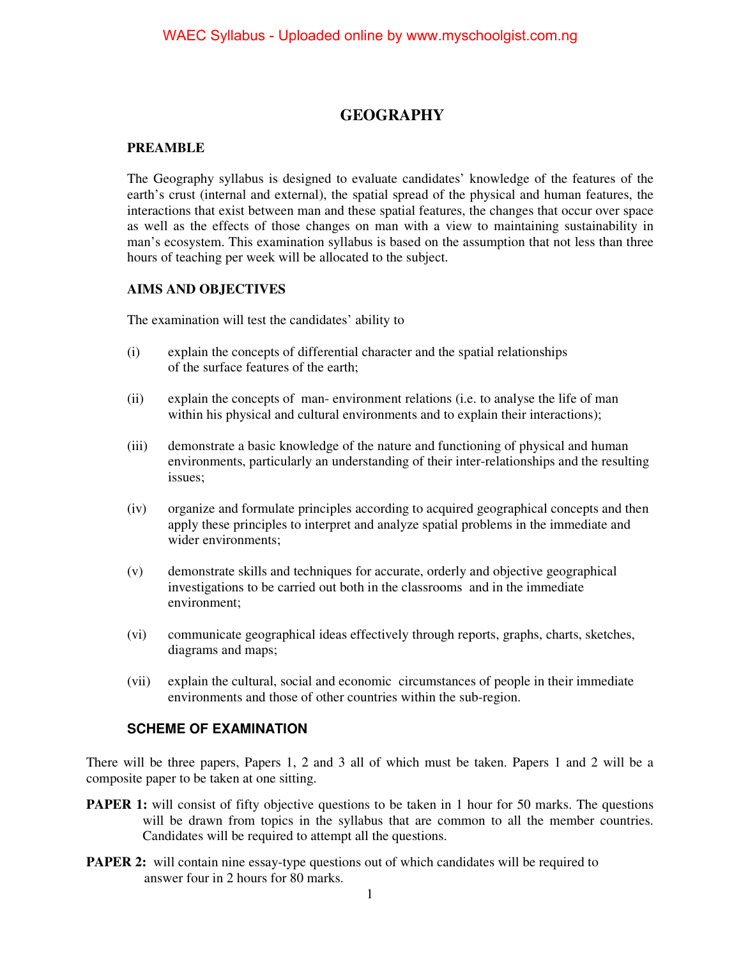### **GEOGRAPHY**

### **PREAMBLE**

The Geography syllabus is designed to evaluate candidates' knowledge of the features of the earth's crust (internal and external), the spatial spread of the physical and human features, the interactions that exist between man and these spatial features, the changes that occur over space as well as the effects of those changes on man with a view to maintaining sustainability in man's ecosystem. This examination syllabus is based on the assumption that not less than three hours of teaching per week will be allocated to the subject.

### **AIMS AND OBJECTIVES**

The examination will test the candidates' ability to

- (i) explain the concepts of differential character and the spatial relationships of the surface features of the earth;
- (ii) explain the concepts of man- environment relations (i.e. to analyse the life of man within his physical and cultural environments and to explain their interactions);
- (iii) demonstrate a basic knowledge of the nature and functioning of physical and human environments, particularly an understanding of their inter-relationships and the resulting issues;
- (iv) organize and formulate principles according to acquired geographical concepts and then apply these principles to interpret and analyze spatial problems in the immediate and wider environments;
- (v) demonstrate skills and techniques for accurate, orderly and objective geographical investigations to be carried out both in the classrooms and in the immediate environment;
- (vi) communicate geographical ideas effectively through reports, graphs, charts, sketches, diagrams and maps;
- (vii) explain the cultural, social and economic circumstances of people in their immediate environments and those of other countries within the sub-region.

### **SCHEME OF EXAMINATION**

There will be three papers, Papers 1, 2 and 3 all of which must be taken. Papers 1 and 2 will be a composite paper to be taken at one sitting.

- **PAPER 1:** will consist of fifty objective questions to be taken in 1 hour for 50 marks. The questions will be drawn from topics in the syllabus that are common to all the member countries. Candidates will be required to attempt all the questions.
- **PAPER 2:** will contain nine essay-type questions out of which candidates will be required to answer four in 2 hours for 80 marks.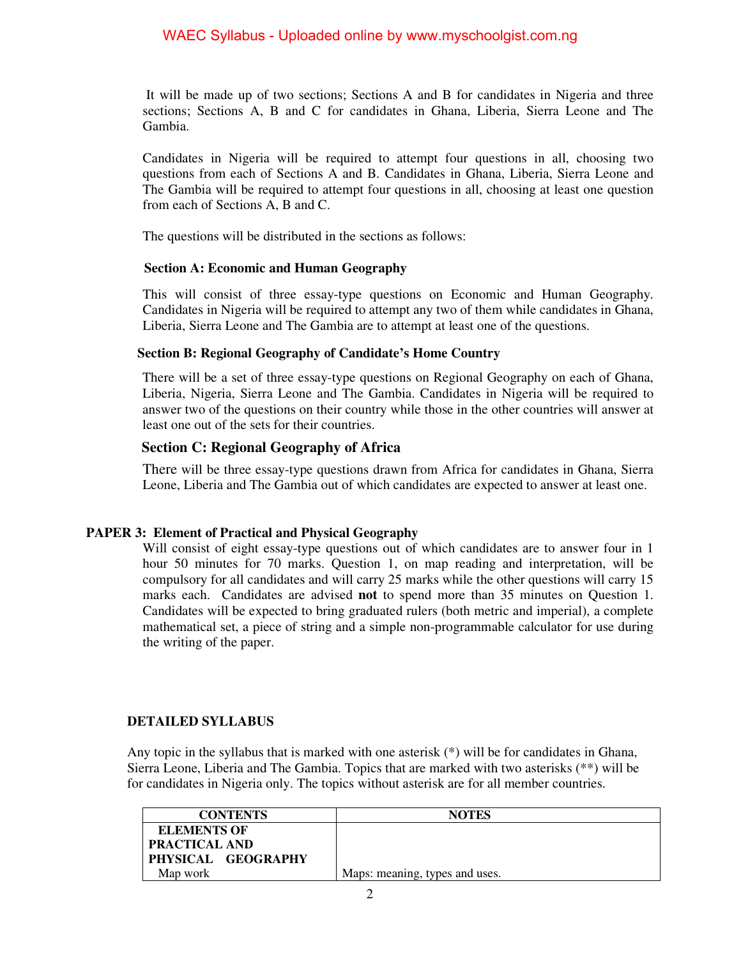It will be made up of two sections; Sections A and B for candidates in Nigeria and three sections; Sections A, B and C for candidates in Ghana, Liberia, Sierra Leone and The Gambia.

Candidates in Nigeria will be required to attempt four questions in all, choosing two questions from each of Sections A and B. Candidates in Ghana, Liberia, Sierra Leone and The Gambia will be required to attempt four questions in all, choosing at least one question from each of Sections A, B and C.

The questions will be distributed in the sections as follows:

### **Section A: Economic and Human Geography**

This will consist of three essay-type questions on Economic and Human Geography. Candidates in Nigeria will be required to attempt any two of them while candidates in Ghana, Liberia, Sierra Leone and The Gambia are to attempt at least one of the questions.

### **Section B: Regional Geography of Candidate's Home Country**

There will be a set of three essay-type questions on Regional Geography on each of Ghana, Liberia, Nigeria, Sierra Leone and The Gambia. Candidates in Nigeria will be required to answer two of the questions on their country while those in the other countries will answer at least one out of the sets for their countries.

### **Section C: Regional Geography of Africa**

There will be three essay-type questions drawn from Africa for candidates in Ghana, Sierra Leone, Liberia and The Gambia out of which candidates are expected to answer at least one.

### **PAPER 3: Element of Practical and Physical Geography**

Will consist of eight essay-type questions out of which candidates are to answer four in 1 hour 50 minutes for 70 marks. Question 1, on map reading and interpretation, will be compulsory for all candidates and will carry 25 marks while the other questions will carry 15 marks each. Candidates are advised **not** to spend more than 35 minutes on Question 1. Candidates will be expected to bring graduated rulers (both metric and imperial), a complete mathematical set, a piece of string and a simple non-programmable calculator for use during the writing of the paper.

### **DETAILED SYLLABUS**

Any topic in the syllabus that is marked with one asterisk (\*) will be for candidates in Ghana, Sierra Leone, Liberia and The Gambia. Topics that are marked with two asterisks (\*\*) will be for candidates in Nigeria only. The topics without asterisk are for all member countries.

| <b>CONTENTS</b>      | <b>NOTES</b>                   |
|----------------------|--------------------------------|
| <b>ELEMENTS OF</b>   |                                |
| <b>PRACTICAL AND</b> |                                |
| PHYSICAL GEOGRAPHY   |                                |
| Map work             | Maps: meaning, types and uses. |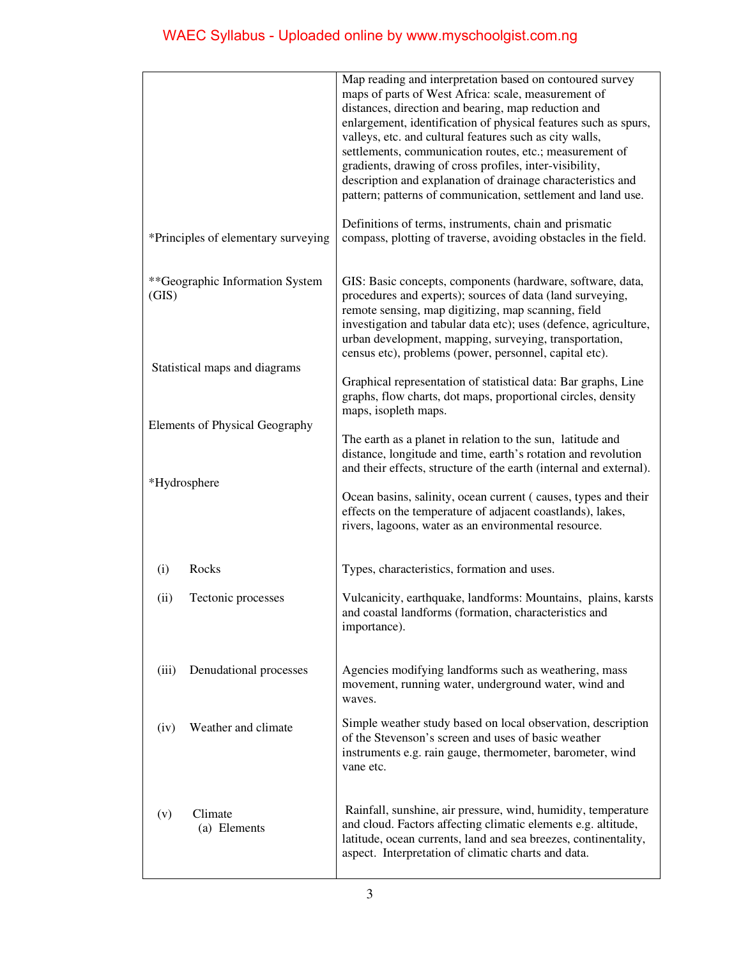|                                                                                                                             |                                     | Map reading and interpretation based on contoured survey<br>maps of parts of West Africa: scale, measurement of<br>distances, direction and bearing, map reduction and<br>enlargement, identification of physical features such as spurs,<br>valleys, etc. and cultural features such as city walls,<br>settlements, communication routes, etc.; measurement of<br>gradients, drawing of cross profiles, inter-visibility,<br>description and explanation of drainage characteristics and<br>pattern; patterns of communication, settlement and land use. |
|-----------------------------------------------------------------------------------------------------------------------------|-------------------------------------|-----------------------------------------------------------------------------------------------------------------------------------------------------------------------------------------------------------------------------------------------------------------------------------------------------------------------------------------------------------------------------------------------------------------------------------------------------------------------------------------------------------------------------------------------------------|
|                                                                                                                             | *Principles of elementary surveying | Definitions of terms, instruments, chain and prismatic<br>compass, plotting of traverse, avoiding obstacles in the field.                                                                                                                                                                                                                                                                                                                                                                                                                                 |
| **Geographic Information System<br>(GIS)<br>Statistical maps and diagrams<br>Elements of Physical Geography<br>*Hydrosphere |                                     | GIS: Basic concepts, components (hardware, software, data,<br>procedures and experts); sources of data (land surveying,<br>remote sensing, map digitizing, map scanning, field<br>investigation and tabular data etc); uses (defence, agriculture,<br>urban development, mapping, surveying, transportation,<br>census etc), problems (power, personnel, capital etc).                                                                                                                                                                                    |
|                                                                                                                             |                                     | Graphical representation of statistical data: Bar graphs, Line<br>graphs, flow charts, dot maps, proportional circles, density<br>maps, isopleth maps.                                                                                                                                                                                                                                                                                                                                                                                                    |
|                                                                                                                             |                                     | The earth as a planet in relation to the sun, latitude and<br>distance, longitude and time, earth's rotation and revolution<br>and their effects, structure of the earth (internal and external).<br>Ocean basins, salinity, ocean current (causes, types and their<br>effects on the temperature of adjacent coastlands), lakes,<br>rivers, lagoons, water as an environmental resource.                                                                                                                                                                 |
| (i)                                                                                                                         | Rocks                               | Types, characteristics, formation and uses.                                                                                                                                                                                                                                                                                                                                                                                                                                                                                                               |
| (ii)                                                                                                                        | Tectonic processes                  | Vulcanicity, earthquake, landforms: Mountains, plains, karsts<br>and coastal landforms (formation, characteristics and<br>importance).                                                                                                                                                                                                                                                                                                                                                                                                                    |
| (iii)                                                                                                                       | Denudational processes              | Agencies modifying landforms such as weathering, mass<br>movement, running water, underground water, wind and<br>waves.                                                                                                                                                                                                                                                                                                                                                                                                                                   |
| (iv)                                                                                                                        | Weather and climate                 | Simple weather study based on local observation, description<br>of the Stevenson's screen and uses of basic weather<br>instruments e.g. rain gauge, thermometer, barometer, wind<br>vane etc.                                                                                                                                                                                                                                                                                                                                                             |
| (v)                                                                                                                         | Climate<br>(a) Elements             | Rainfall, sunshine, air pressure, wind, humidity, temperature<br>and cloud. Factors affecting climatic elements e.g. altitude,<br>latitude, ocean currents, land and sea breezes, continentality,<br>aspect. Interpretation of climatic charts and data.                                                                                                                                                                                                                                                                                                  |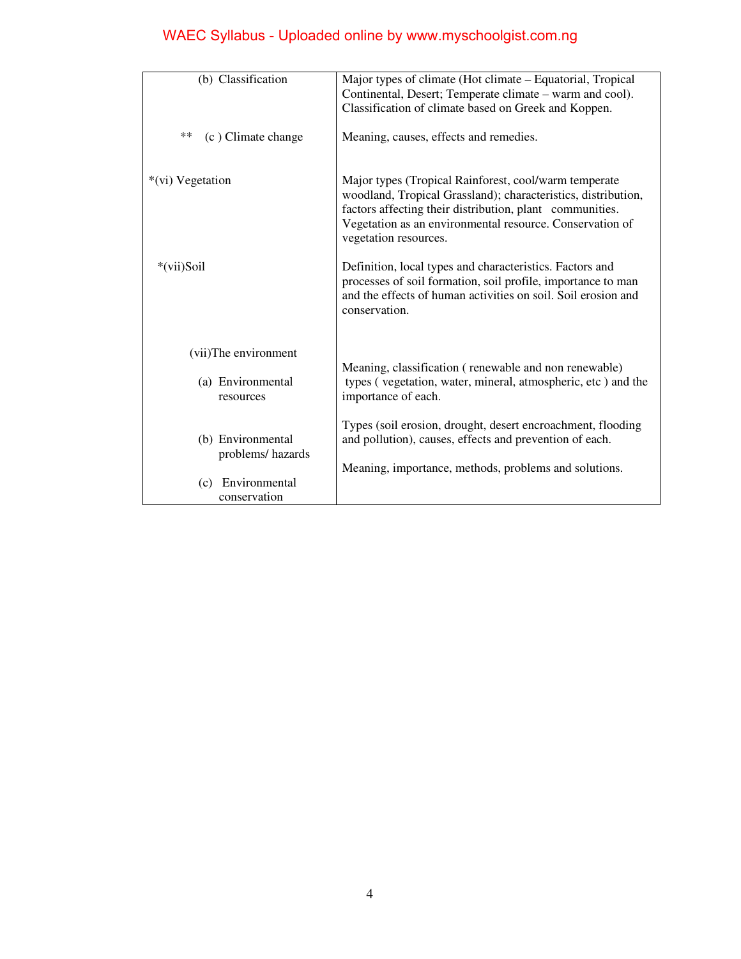| (b) Classification                                         | Major types of climate (Hot climate – Equatorial, Tropical<br>Continental, Desert; Temperate climate – warm and cool).<br>Classification of climate based on Greek and Koppen.                                                                                          |  |
|------------------------------------------------------------|-------------------------------------------------------------------------------------------------------------------------------------------------------------------------------------------------------------------------------------------------------------------------|--|
| $**$<br>(c) Climate change                                 | Meaning, causes, effects and remedies.                                                                                                                                                                                                                                  |  |
| *(vi) Vegetation                                           | Major types (Tropical Rainforest, cool/warm temperate<br>woodland, Tropical Grassland); characteristics, distribution,<br>factors affecting their distribution, plant communities.<br>Vegetation as an environmental resource. Conservation of<br>vegetation resources. |  |
| *(vii)Soil                                                 | Definition, local types and characteristics. Factors and<br>processes of soil formation, soil profile, importance to man<br>and the effects of human activities on soil. Soil erosion and<br>conservation.                                                              |  |
| (vii)The environment                                       |                                                                                                                                                                                                                                                                         |  |
| (a) Environmental<br>resources                             | Meaning, classification (renewable and non renewable)<br>types (vegetation, water, mineral, atmospheric, etc) and the<br>importance of each.                                                                                                                            |  |
| (b) Environmental<br>problems/hazards<br>(c) Environmental | Types (soil erosion, drought, desert encroachment, flooding<br>and pollution), causes, effects and prevention of each.<br>Meaning, importance, methods, problems and solutions.                                                                                         |  |
| conservation                                               |                                                                                                                                                                                                                                                                         |  |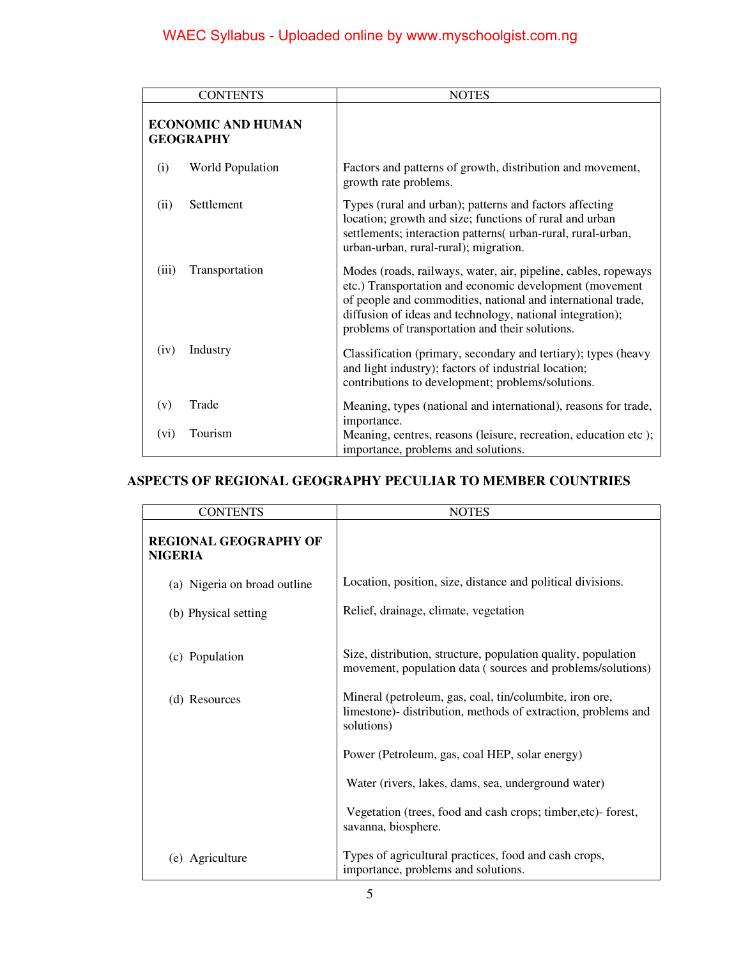| <b>CONTENTS</b>                               | <b>NOTES</b>                                                                                                                                                                                                                                                                                              |
|-----------------------------------------------|-----------------------------------------------------------------------------------------------------------------------------------------------------------------------------------------------------------------------------------------------------------------------------------------------------------|
| <b>ECONOMIC AND HUMAN</b><br><b>GEOGRAPHY</b> |                                                                                                                                                                                                                                                                                                           |
| <b>World Population</b><br>(i)                | Factors and patterns of growth, distribution and movement,<br>growth rate problems.                                                                                                                                                                                                                       |
| Settlement<br>(ii)                            | Types (rural and urban); patterns and factors affecting<br>location; growth and size; functions of rural and urban<br>settlements; interaction patterns( urban-rural, rural-urban,<br>urban-urban, rural-rural); migration.                                                                               |
| Transportation<br>(iii)                       | Modes (roads, railways, water, air, pipeline, cables, ropeways<br>etc.) Transportation and economic development (movement<br>of people and commodities, national and international trade,<br>diffusion of ideas and technology, national integration);<br>problems of transportation and their solutions. |
| Industry<br>(iv)                              | Classification (primary, secondary and tertiary); types (heavy<br>and light industry); factors of industrial location;<br>contributions to development; problems/solutions.                                                                                                                               |
| Trade<br>(v)                                  | Meaning, types (national and international), reasons for trade,                                                                                                                                                                                                                                           |
| Tourism<br>(vi)                               | importance.<br>Meaning, centres, reasons (leisure, recreation, education etc);<br>importance, problems and solutions.                                                                                                                                                                                     |

### **ASPECTS OF REGIONAL GEOGRAPHY PECULIAR TO MEMBER COUNTRIES**

| <b>CONTENTS</b>                                | <b>NOTES</b>                                                                                                                           |  |
|------------------------------------------------|----------------------------------------------------------------------------------------------------------------------------------------|--|
| <b>REGIONAL GEOGRAPHY OF</b><br><b>NIGERIA</b> |                                                                                                                                        |  |
| (a) Nigeria on broad outline                   | Location, position, size, distance and political divisions.                                                                            |  |
| (b) Physical setting                           | Relief, drainage, climate, vegetation                                                                                                  |  |
| (c) Population                                 | Size, distribution, structure, population quality, population<br>movement, population data (sources and problems/solutions)            |  |
| (d) Resources                                  | Mineral (petroleum, gas, coal, tin/columbite, iron ore,<br>limestone)- distribution, methods of extraction, problems and<br>solutions) |  |
|                                                | Power (Petroleum, gas, coal HEP, solar energy)                                                                                         |  |
|                                                | Water (rivers, lakes, dams, sea, underground water)                                                                                    |  |
|                                                | Vegetation (trees, food and cash crops; timber, etc) forest,<br>savanna, biosphere.                                                    |  |
| (e) Agriculture                                | Types of agricultural practices, food and cash crops,<br>importance, problems and solutions.                                           |  |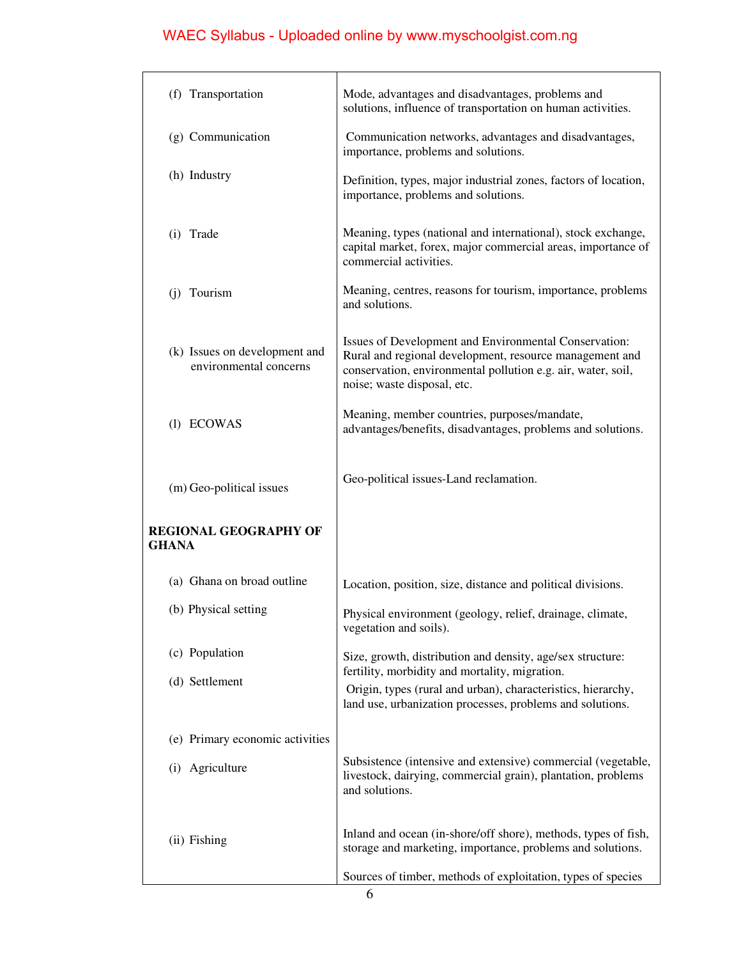| (f) Transportation                                      | Mode, advantages and disadvantages, problems and<br>solutions, influence of transportation on human activities.                                                                                                 |  |
|---------------------------------------------------------|-----------------------------------------------------------------------------------------------------------------------------------------------------------------------------------------------------------------|--|
| (g) Communication                                       | Communication networks, advantages and disadvantages,<br>importance, problems and solutions.                                                                                                                    |  |
| (h) Industry                                            | Definition, types, major industrial zones, factors of location,<br>importance, problems and solutions.                                                                                                          |  |
| (i) Trade                                               | Meaning, types (national and international), stock exchange,<br>capital market, forex, major commercial areas, importance of<br>commercial activities.                                                          |  |
| (j) Tourism                                             | Meaning, centres, reasons for tourism, importance, problems<br>and solutions.                                                                                                                                   |  |
| (k) Issues on development and<br>environmental concerns | Issues of Development and Environmental Conservation:<br>Rural and regional development, resource management and<br>conservation, environmental pollution e.g. air, water, soil,<br>noise; waste disposal, etc. |  |
| (1) ECOWAS                                              | Meaning, member countries, purposes/mandate,<br>advantages/benefits, disadvantages, problems and solutions.                                                                                                     |  |
| (m) Geo-political issues                                | Geo-political issues-Land reclamation.                                                                                                                                                                          |  |
| <b>REGIONAL GEOGRAPHY OF</b><br>GHANA                   |                                                                                                                                                                                                                 |  |
| (a) Ghana on broad outline                              | Location, position, size, distance and political divisions.                                                                                                                                                     |  |
| (b) Physical setting                                    | Physical environment (geology, relief, drainage, climate,<br>vegetation and soils).                                                                                                                             |  |
| (c) Population                                          | Size, growth, distribution and density, age/sex structure:                                                                                                                                                      |  |
| (d) Settlement                                          | fertility, morbidity and mortality, migration.<br>Origin, types (rural and urban), characteristics, hierarchy,<br>land use, urbanization processes, problems and solutions.                                     |  |
| (e) Primary economic activities                         |                                                                                                                                                                                                                 |  |
| (i) Agriculture                                         | Subsistence (intensive and extensive) commercial (vegetable,<br>livestock, dairying, commercial grain), plantation, problems<br>and solutions.                                                                  |  |
| (ii) Fishing                                            | Inland and ocean (in-shore/off shore), methods, types of fish,<br>storage and marketing, importance, problems and solutions.                                                                                    |  |
|                                                         | Sources of timber, methods of exploitation, types of species                                                                                                                                                    |  |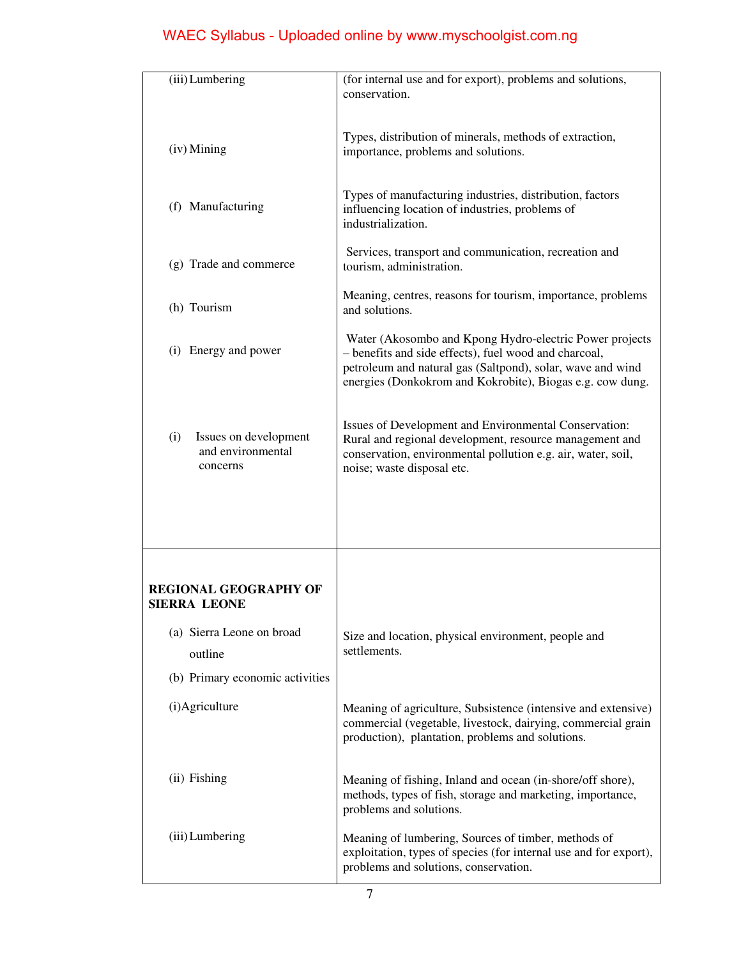| (iii) Lumbering                                               | (for internal use and for export), problems and solutions,<br>conservation.                                                                                                                                                                 |  |
|---------------------------------------------------------------|---------------------------------------------------------------------------------------------------------------------------------------------------------------------------------------------------------------------------------------------|--|
| (iv) Mining                                                   | Types, distribution of minerals, methods of extraction,<br>importance, problems and solutions.                                                                                                                                              |  |
| (f) Manufacturing                                             | Types of manufacturing industries, distribution, factors<br>influencing location of industries, problems of<br>industrialization.                                                                                                           |  |
| (g) Trade and commerce                                        | Services, transport and communication, recreation and<br>tourism, administration.                                                                                                                                                           |  |
| (h) Tourism                                                   | Meaning, centres, reasons for tourism, importance, problems<br>and solutions.                                                                                                                                                               |  |
| (i) Energy and power                                          | Water (Akosombo and Kpong Hydro-electric Power projects<br>- benefits and side effects), fuel wood and charcoal,<br>petroleum and natural gas (Saltpond), solar, wave and wind<br>energies (Donkokrom and Kokrobite), Biogas e.g. cow dung. |  |
| Issues on development<br>(i)<br>and environmental<br>concerns | Issues of Development and Environmental Conservation:<br>Rural and regional development, resource management and<br>conservation, environmental pollution e.g. air, water, soil,<br>noise; waste disposal etc.                              |  |
|                                                               |                                                                                                                                                                                                                                             |  |
| <b>REGIONAL GEOGRAPHY OF</b><br>SIERRA LEONE                  |                                                                                                                                                                                                                                             |  |
| (a) Sierra Leone on broad<br>outline                          | Size and location, physical environment, people and<br>settlements.                                                                                                                                                                         |  |
| (b) Primary economic activities                               |                                                                                                                                                                                                                                             |  |
| (i)Agriculture                                                | Meaning of agriculture, Subsistence (intensive and extensive)<br>commercial (vegetable, livestock, dairying, commercial grain<br>production), plantation, problems and solutions.                                                           |  |
| (ii) Fishing                                                  | Meaning of fishing, Inland and ocean (in-shore/off shore),<br>methods, types of fish, storage and marketing, importance,<br>problems and solutions.                                                                                         |  |
| (iii) Lumbering                                               | Meaning of lumbering, Sources of timber, methods of<br>exploitation, types of species (for internal use and for export),<br>problems and solutions, conservation.                                                                           |  |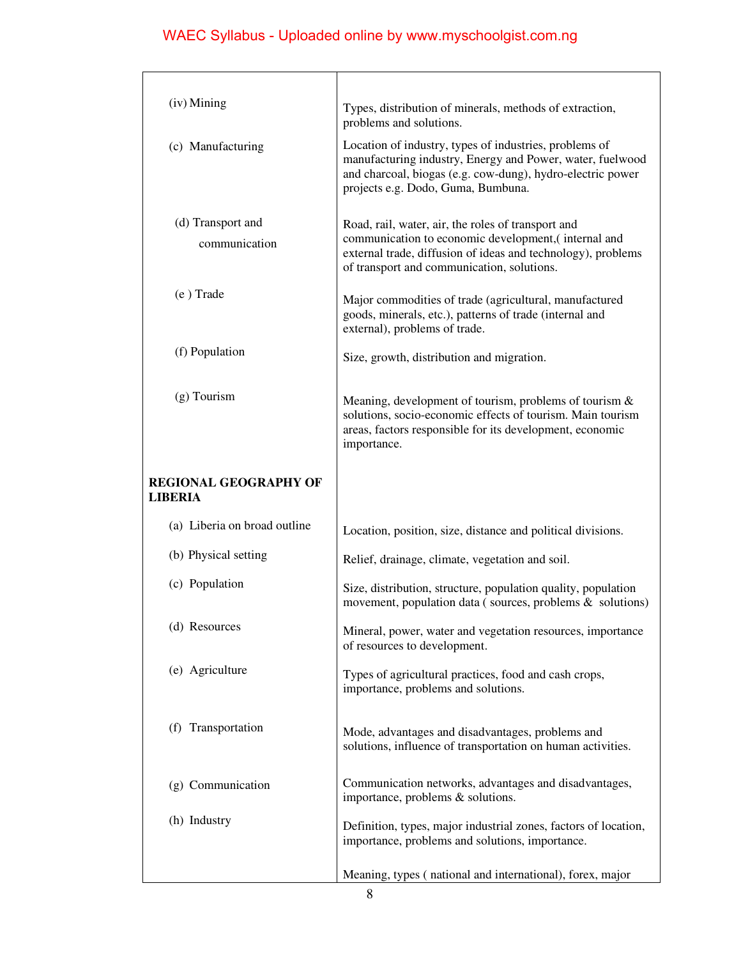| (iv) Mining                                    | Types, distribution of minerals, methods of extraction,<br>problems and solutions.                                                                                                                                       |  |
|------------------------------------------------|--------------------------------------------------------------------------------------------------------------------------------------------------------------------------------------------------------------------------|--|
| (c) Manufacturing                              | Location of industry, types of industries, problems of<br>manufacturing industry, Energy and Power, water, fuelwood<br>and charcoal, biogas (e.g. cow-dung), hydro-electric power<br>projects e.g. Dodo, Guma, Bumbuna.  |  |
| (d) Transport and<br>communication             | Road, rail, water, air, the roles of transport and<br>communication to economic development, (internal and<br>external trade, diffusion of ideas and technology), problems<br>of transport and communication, solutions. |  |
| (e) Trade                                      | Major commodities of trade (agricultural, manufactured<br>goods, minerals, etc.), patterns of trade (internal and<br>external), problems of trade.                                                                       |  |
| (f) Population                                 | Size, growth, distribution and migration.                                                                                                                                                                                |  |
| $(g)$ Tourism                                  | Meaning, development of tourism, problems of tourism $\&$<br>solutions, socio-economic effects of tourism. Main tourism<br>areas, factors responsible for its development, economic<br>importance.                       |  |
| <b>REGIONAL GEOGRAPHY OF</b><br><b>LIBERIA</b> |                                                                                                                                                                                                                          |  |
| (a) Liberia on broad outline                   | Location, position, size, distance and political divisions.                                                                                                                                                              |  |
| (b) Physical setting                           | Relief, drainage, climate, vegetation and soil.                                                                                                                                                                          |  |
| (c) Population                                 | Size, distribution, structure, population quality, population<br>movement, population data (sources, problems $\&$ solutions)                                                                                            |  |
| (d) Resources                                  | Mineral, power, water and vegetation resources, importance<br>of resources to development.                                                                                                                               |  |
| (e) Agriculture                                | Types of agricultural practices, food and cash crops,<br>importance, problems and solutions.                                                                                                                             |  |
| (f) Transportation                             | Mode, advantages and disadvantages, problems and<br>solutions, influence of transportation on human activities.                                                                                                          |  |
| (g) Communication                              | Communication networks, advantages and disadvantages,<br>importance, problems & solutions.                                                                                                                               |  |
| (h) Industry                                   | Definition, types, major industrial zones, factors of location,<br>importance, problems and solutions, importance.                                                                                                       |  |
|                                                | Meaning, types (national and international), forex, major                                                                                                                                                                |  |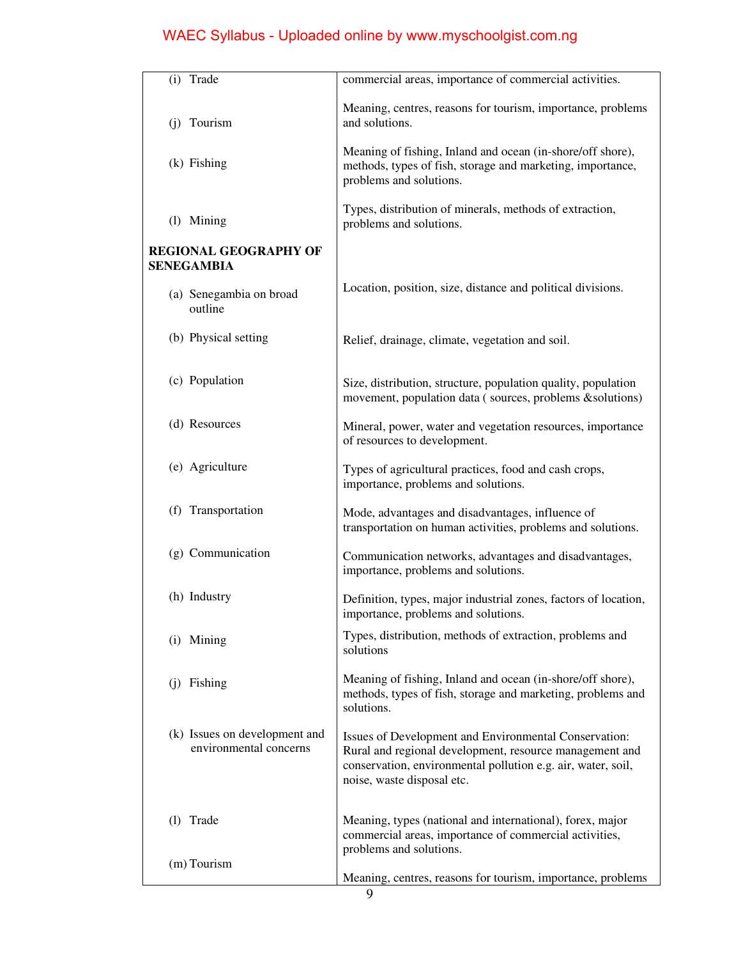| (i) Trade                                               | commercial areas, importance of commercial activities.                                                                                                                                                         |  |  |
|---------------------------------------------------------|----------------------------------------------------------------------------------------------------------------------------------------------------------------------------------------------------------------|--|--|
| (j) Tourism                                             | Meaning, centres, reasons for tourism, importance, problems<br>and solutions.                                                                                                                                  |  |  |
| $(k)$ Fishing                                           | Meaning of fishing, Inland and ocean (in-shore/off shore),<br>methods, types of fish, storage and marketing, importance,<br>problems and solutions.                                                            |  |  |
| (1) Mining                                              | Types, distribution of minerals, methods of extraction,<br>problems and solutions.                                                                                                                             |  |  |
| <b>REGIONAL GEOGRAPHY OF</b><br><b>SENEGAMBIA</b>       |                                                                                                                                                                                                                |  |  |
| (a) Senegambia on broad<br>outline                      | Location, position, size, distance and political divisions.                                                                                                                                                    |  |  |
| (b) Physical setting                                    | Relief, drainage, climate, vegetation and soil.                                                                                                                                                                |  |  |
| (c) Population                                          | Size, distribution, structure, population quality, population<br>movement, population data (sources, problems & solutions)                                                                                     |  |  |
| (d) Resources                                           | Mineral, power, water and vegetation resources, importance<br>of resources to development.                                                                                                                     |  |  |
| (e) Agriculture                                         | Types of agricultural practices, food and cash crops,<br>importance, problems and solutions.                                                                                                                   |  |  |
| (f) Transportation                                      | Mode, advantages and disadvantages, influence of<br>transportation on human activities, problems and solutions.                                                                                                |  |  |
| (g) Communication                                       | Communication networks, advantages and disadvantages,<br>importance, problems and solutions.                                                                                                                   |  |  |
| (h) Industry                                            | Definition, types, major industrial zones, factors of location,<br>importance, problems and solutions.                                                                                                         |  |  |
| (i) Mining                                              | Types, distribution, methods of extraction, problems and<br>solutions                                                                                                                                          |  |  |
| (j) Fishing                                             | Meaning of fishing, Inland and ocean (in-shore/off shore),<br>methods, types of fish, storage and marketing, problems and<br>solutions.                                                                        |  |  |
| (k) Issues on development and<br>environmental concerns | Issues of Development and Environmental Conservation:<br>Rural and regional development, resource management and<br>conservation, environmental pollution e.g. air, water, soil,<br>noise, waste disposal etc. |  |  |
| (1) Trade                                               | Meaning, types (national and international), forex, major<br>commercial areas, importance of commercial activities,                                                                                            |  |  |
| (m) Tourism                                             | problems and solutions.<br>Meaning, centres, reasons for tourism, importance, problems                                                                                                                         |  |  |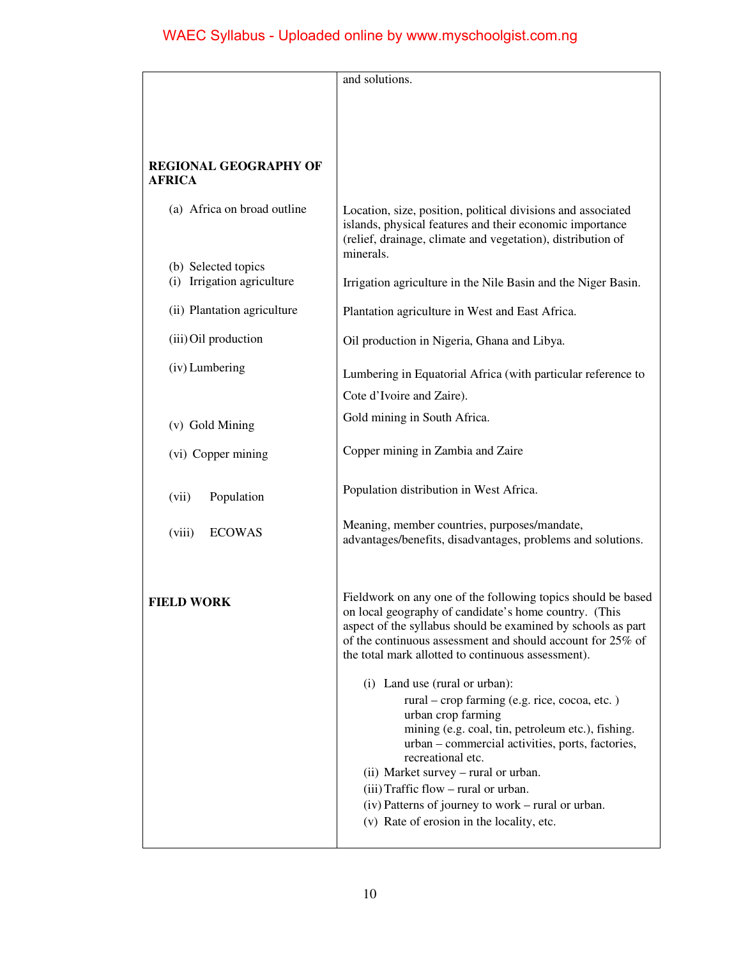|                                                   | and solutions.                                                                                                                                                                                                                                                                                                                                                                                                         |  |
|---------------------------------------------------|------------------------------------------------------------------------------------------------------------------------------------------------------------------------------------------------------------------------------------------------------------------------------------------------------------------------------------------------------------------------------------------------------------------------|--|
|                                                   |                                                                                                                                                                                                                                                                                                                                                                                                                        |  |
| <b>REGIONAL GEOGRAPHY OF</b><br><b>AFRICA</b>     |                                                                                                                                                                                                                                                                                                                                                                                                                        |  |
| (a) Africa on broad outline                       | Location, size, position, political divisions and associated<br>islands, physical features and their economic importance<br>(relief, drainage, climate and vegetation), distribution of<br>minerals.                                                                                                                                                                                                                   |  |
| (b) Selected topics<br>(i) Irrigation agriculture | Irrigation agriculture in the Nile Basin and the Niger Basin.                                                                                                                                                                                                                                                                                                                                                          |  |
| (ii) Plantation agriculture                       | Plantation agriculture in West and East Africa.                                                                                                                                                                                                                                                                                                                                                                        |  |
| (iii) Oil production                              | Oil production in Nigeria, Ghana and Libya.                                                                                                                                                                                                                                                                                                                                                                            |  |
| (iv) Lumbering                                    | Lumbering in Equatorial Africa (with particular reference to<br>Cote d'Ivoire and Zaire).                                                                                                                                                                                                                                                                                                                              |  |
| (v) Gold Mining                                   | Gold mining in South Africa.                                                                                                                                                                                                                                                                                                                                                                                           |  |
| (vi) Copper mining                                | Copper mining in Zambia and Zaire                                                                                                                                                                                                                                                                                                                                                                                      |  |
| Population<br>(vii)                               | Population distribution in West Africa.                                                                                                                                                                                                                                                                                                                                                                                |  |
| <b>ECOWAS</b><br>(viii)                           | Meaning, member countries, purposes/mandate,<br>advantages/benefits, disadvantages, problems and solutions.                                                                                                                                                                                                                                                                                                            |  |
| <b>FIELD WORK</b>                                 | Fieldwork on any one of the following topics should be based<br>on local geography of candidate's home country. (This<br>aspect of the syllabus should be examined by schools as part<br>of the continuous assessment and should account for 25% of<br>the total mark allotted to continuous assessment).                                                                                                              |  |
|                                                   | (i) Land use (rural or urban):<br>rural – crop farming (e.g. rice, cocoa, etc.)<br>urban crop farming<br>mining (e.g. coal, tin, petroleum etc.), fishing.<br>urban - commercial activities, ports, factories,<br>recreational etc.<br>(ii) Market survey - rural or urban.<br>(iii) Traffic flow – rural or urban.<br>(iv) Patterns of journey to work – rural or urban.<br>(v) Rate of erosion in the locality, etc. |  |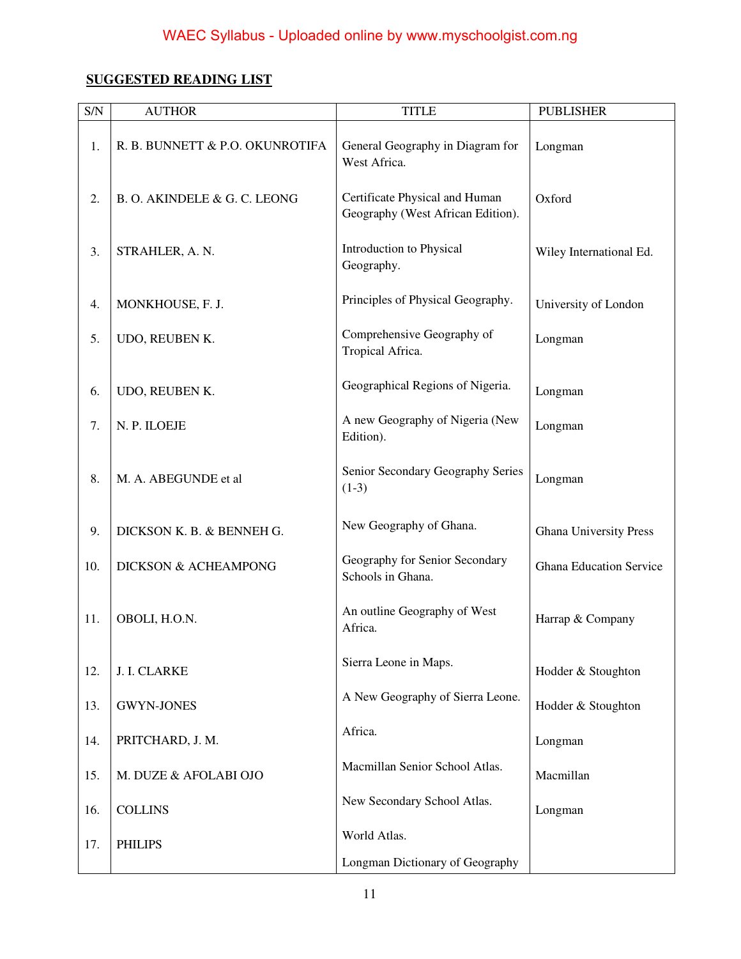## **SUGGESTED READING LIST**

| S/N | <b>AUTHOR</b>                   | <b>TITLE</b>                                                        | <b>PUBLISHER</b>               |
|-----|---------------------------------|---------------------------------------------------------------------|--------------------------------|
| 1.  | R. B. BUNNETT & P.O. OKUNROTIFA | General Geography in Diagram for<br>West Africa.                    | Longman                        |
| 2.  | B. O. AKINDELE & G. C. LEONG    | Certificate Physical and Human<br>Geography (West African Edition). | Oxford                         |
| 3.  | STRAHLER, A. N.                 | Introduction to Physical<br>Geography.                              | Wiley International Ed.        |
| 4.  | MONKHOUSE, F. J.                | Principles of Physical Geography.                                   | University of London           |
| 5.  | UDO, REUBEN K.                  | Comprehensive Geography of<br>Tropical Africa.                      | Longman                        |
| 6.  | UDO, REUBEN K.                  | Geographical Regions of Nigeria.                                    | Longman                        |
| 7.  | N. P. ILOEJE                    | A new Geography of Nigeria (New<br>Edition).                        | Longman                        |
| 8.  | M. A. ABEGUNDE et al            | Senior Secondary Geography Series<br>$(1-3)$                        | Longman                        |
| 9.  | DICKSON K. B. & BENNEH G.       | New Geography of Ghana.                                             | <b>Ghana University Press</b>  |
| 10. | DICKSON & ACHEAMPONG            | Geography for Senior Secondary<br>Schools in Ghana.                 | <b>Ghana Education Service</b> |
| 11. | OBOLI, H.O.N.                   | An outline Geography of West<br>Africa.                             | Harrap & Company               |
| 12. | J. I. CLARKE                    | Sierra Leone in Maps.                                               | Hodder & Stoughton             |
| 13. | <b>GWYN-JONES</b>               | A New Geography of Sierra Leone.                                    | Hodder & Stoughton             |
| 14. | PRITCHARD, J. M.                | Africa.                                                             | Longman                        |
| 15. | M. DUZE & AFOLABI OJO           | Macmillan Senior School Atlas.                                      | Macmillan                      |
| 16. | <b>COLLINS</b>                  | New Secondary School Atlas.                                         | Longman                        |
| 17. | <b>PHILIPS</b>                  | World Atlas.                                                        |                                |
|     |                                 | Longman Dictionary of Geography                                     |                                |